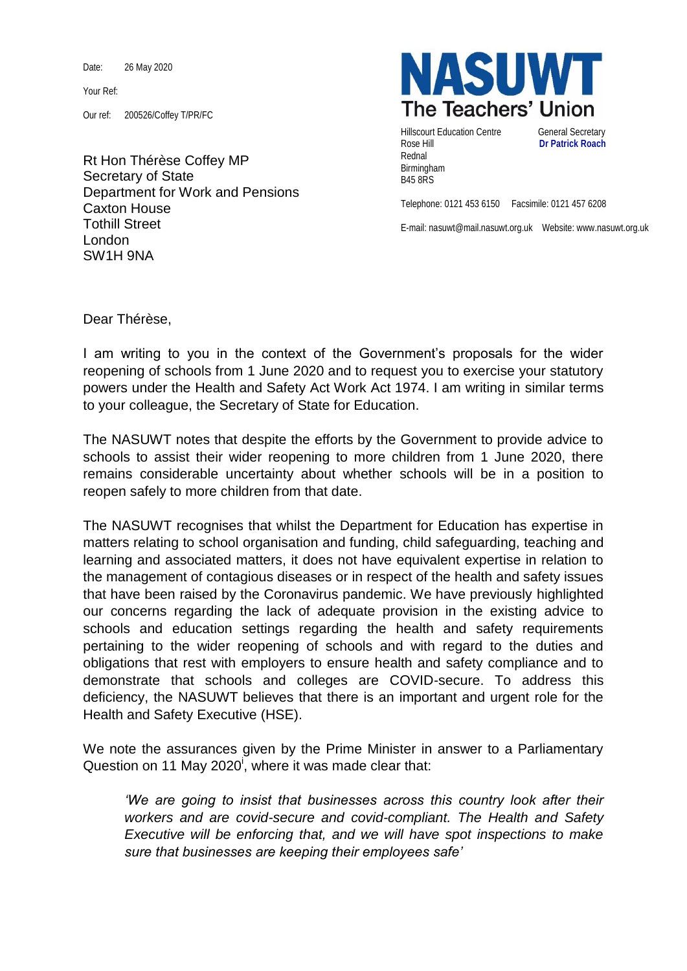Date: 26 May 2020

Your Ref:

Our ref: 200526/Coffey T/PR/FC

Rt Hon Thérèse Coffey MP Secretary of State Department for Work and Pensions Caxton House Tothill Street London SW1H 9NA



Hillscourt Education Centre **General Secretary** Rose Hill **Dr Patrick Roach** Rednal Birmingham B45 8RS

Telephone: 0121 453 6150 Facsimile: 0121 457 6208

E-mail: nasuwt@mail.nasuwt.org.uk Website: www.nasuwt.org.uk

Dear Thérèse,

I am writing to you in the context of the Government's proposals for the wider reopening of schools from 1 June 2020 and to request you to exercise your statutory powers under the Health and Safety Act Work Act 1974. I am writing in similar terms to your colleague, the Secretary of State for Education.

The NASUWT notes that despite the efforts by the Government to provide advice to schools to assist their wider reopening to more children from 1 June 2020, there remains considerable uncertainty about whether schools will be in a position to reopen safely to more children from that date.

The NASUWT recognises that whilst the Department for Education has expertise in matters relating to school organisation and funding, child safeguarding, teaching and learning and associated matters, it does not have equivalent expertise in relation to the management of contagious diseases or in respect of the health and safety issues that have been raised by the Coronavirus pandemic. We have previously highlighted our concerns regarding the lack of adequate provision in the existing advice to schools and education settings regarding the health and safety requirements pertaining to the wider reopening of schools and with regard to the duties and obligations that rest with employers to ensure health and safety compliance and to demonstrate that schools and colleges are COVID-secure. To address this deficiency, the NASUWT believes that there is an important and urgent role for the Health and Safety Executive (HSE).

We note the assurances given by the Prime Minister in answer to a Parliamentary Question on 11 May 2020<sup>i</sup>, where it was made clear that:

*'We are going to insist that businesses across this country look after their workers and are covid-secure and covid-compliant. The Health and Safety Executive will be enforcing that, and we will have spot inspections to make sure that businesses are keeping their employees safe'*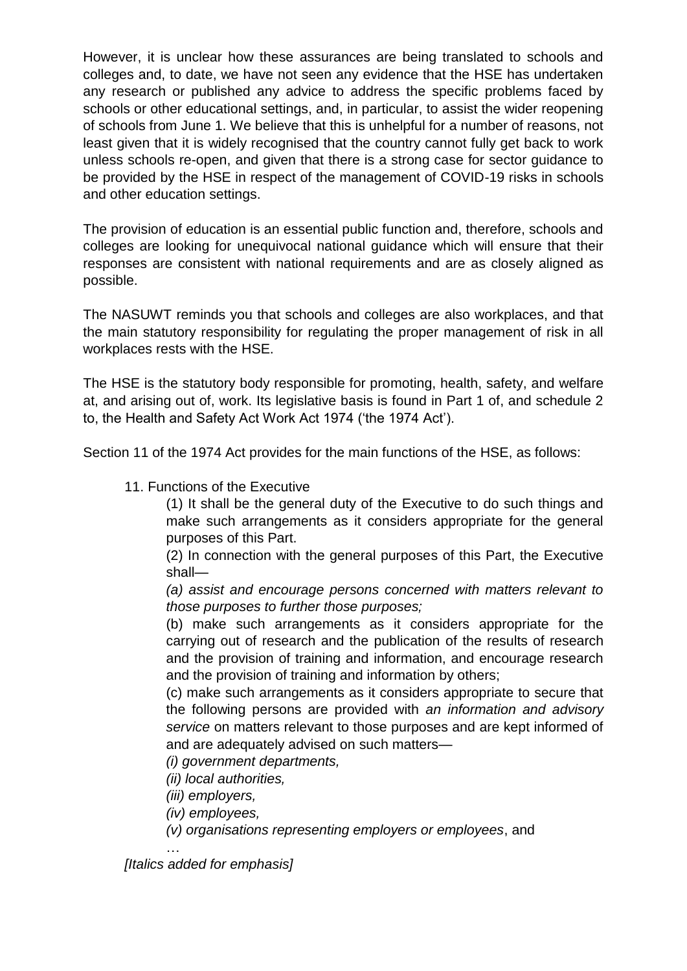However, it is unclear how these assurances are being translated to schools and colleges and, to date, we have not seen any evidence that the HSE has undertaken any research or published any advice to address the specific problems faced by schools or other educational settings, and, in particular, to assist the wider reopening of schools from June 1. We believe that this is unhelpful for a number of reasons, not least given that it is widely recognised that the country cannot fully get back to work unless schools re-open, and given that there is a strong case for sector guidance to be provided by the HSE in respect of the management of COVID-19 risks in schools and other education settings.

The provision of education is an essential public function and, therefore, schools and colleges are looking for unequivocal national guidance which will ensure that their responses are consistent with national requirements and are as closely aligned as possible.

The NASUWT reminds you that schools and colleges are also workplaces, and that the main statutory responsibility for regulating the proper management of risk in all workplaces rests with the HSE.

The HSE is the statutory body responsible for promoting, health, safety, and welfare at, and arising out of, work. Its legislative basis is found in Part 1 of, and schedule 2 to, the Health and Safety Act Work Act 1974 ('the 1974 Act').

Section 11 of the 1974 Act provides for the main functions of the HSE, as follows:

11. Functions of the Executive

(1) It shall be the general duty of the Executive to do such things and make such arrangements as it considers appropriate for the general purposes of this Part.

(2) In connection with the general purposes of this Part, the Executive shall—

*(a) assist and encourage persons concerned with matters relevant to those purposes to further those purposes;*

(b) make such arrangements as it considers appropriate for the carrying out of research and the publication of the results of research and the provision of training and information, and encourage research and the provision of training and information by others;

(c) make such arrangements as it considers appropriate to secure that the following persons are provided with *an information and advisory service* on matters relevant to those purposes and are kept informed of and are adequately advised on such matters—

*(i) government departments,* 

*(ii) local authorities,* 

*(iii) employers,* 

*(iv) employees,* 

*(v) organisations representing employers or employees*, and

*[Italics added for emphasis]*

…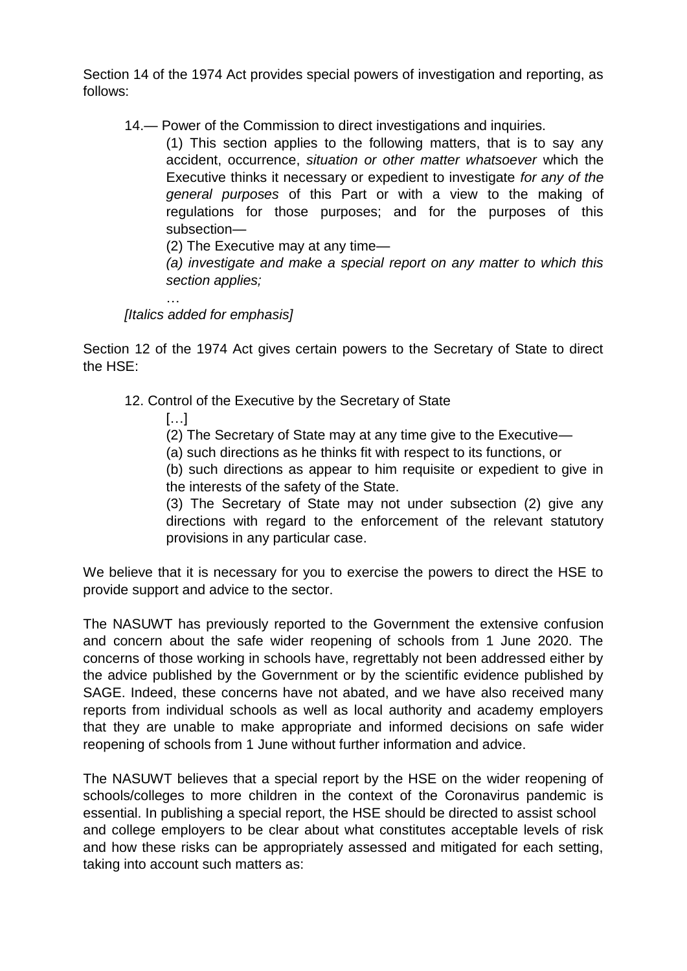Section 14 of the 1974 Act provides special powers of investigation and reporting, as follows:

14.— Power of the Commission to direct investigations and inquiries.

(1) This section applies to the following matters, that is to say any accident, occurrence, *situation or other matter whatsoever* which the Executive thinks it necessary or expedient to investigate *for any of the general purposes* of this Part or with a view to the making of regulations for those purposes; and for the purposes of this subsection—

(2) The Executive may at any time—

*(a) investigate and make a special report on any matter to which this section applies;* 

*[Italics added for emphasis]*

Section 12 of the 1974 Act gives certain powers to the Secretary of State to direct the HSE:

- 12. Control of the Executive by the Secretary of State
	- […]

…

- (2) The Secretary of State may at any time give to the Executive—
- (a) such directions as he thinks fit with respect to its functions, or

(b) such directions as appear to him requisite or expedient to give in the interests of the safety of the State.

(3) The Secretary of State may not under subsection (2) give any directions with regard to the enforcement of the relevant statutory provisions in any particular case.

We believe that it is necessary for you to exercise the powers to direct the HSE to provide support and advice to the sector.

The NASUWT has previously reported to the Government the extensive confusion and concern about the safe wider reopening of schools from 1 June 2020. The concerns of those working in schools have, regrettably not been addressed either by the advice published by the Government or by the scientific evidence published by SAGE. Indeed, these concerns have not abated, and we have also received many reports from individual schools as well as local authority and academy employers that they are unable to make appropriate and informed decisions on safe wider reopening of schools from 1 June without further information and advice.

The NASUWT believes that a special report by the HSE on the wider reopening of schools/colleges to more children in the context of the Coronavirus pandemic is essential. In publishing a special report, the HSE should be directed to assist school and college employers to be clear about what constitutes acceptable levels of risk and how these risks can be appropriately assessed and mitigated for each setting, taking into account such matters as: